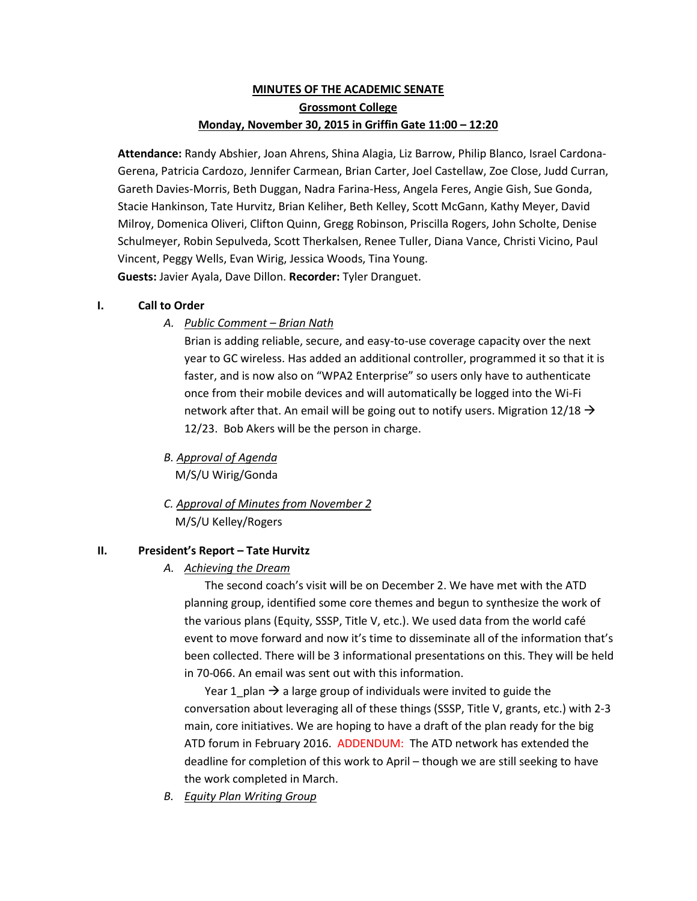# **MINUTES OF THE ACADEMIC SENATE Grossmont College Monday, November 30, 2015 in Griffin Gate 11:00 – 12:20**

**Attendance:** Randy Abshier, Joan Ahrens, Shina Alagia, Liz Barrow, Philip Blanco, Israel Cardona-Gerena, Patricia Cardozo, Jennifer Carmean, Brian Carter, Joel Castellaw, Zoe Close, Judd Curran, Gareth Davies-Morris, Beth Duggan, Nadra Farina-Hess, Angela Feres, Angie Gish, Sue Gonda, Stacie Hankinson, Tate Hurvitz, Brian Keliher, Beth Kelley, Scott McGann, Kathy Meyer, David Milroy, Domenica Oliveri, Clifton Quinn, Gregg Robinson, Priscilla Rogers, John Scholte, Denise Schulmeyer, Robin Sepulveda, Scott Therkalsen, Renee Tuller, Diana Vance, Christi Vicino, Paul Vincent, Peggy Wells, Evan Wirig, Jessica Woods, Tina Young. **Guests:** Javier Ayala, Dave Dillon. **Recorder:** Tyler Dranguet.

## **I. Call to Order**

*A. Public Comment – Brian Nath*

Brian is adding reliable, secure, and easy-to-use coverage capacity over the next year to GC wireless. Has added an additional controller, programmed it so that it is faster, and is now also on "WPA2 Enterprise" so users only have to authenticate once from their mobile devices and will automatically be logged into the Wi-Fi network after that. An email will be going out to notify users. Migration  $12/18 \rightarrow$ 12/23. Bob Akers will be the person in charge.

- *B. Approval of Agenda* M/S/U Wirig/Gonda
- *C. Approval of Minutes from November 2* M/S/U Kelley/Rogers

## **II. President's Report – Tate Hurvitz**

## *A. Achieving the Dream*

The second coach's visit will be on December 2. We have met with the ATD planning group, identified some core themes and begun to synthesize the work of the various plans (Equity, SSSP, Title V, etc.). We used data from the world café event to move forward and now it's time to disseminate all of the information that's been collected. There will be 3 informational presentations on this. They will be held in 70-066. An email was sent out with this information.

Year 1 plan  $\rightarrow$  a large group of individuals were invited to guide the conversation about leveraging all of these things (SSSP, Title V, grants, etc.) with 2-3 main, core initiatives. We are hoping to have a draft of the plan ready for the big ATD forum in February 2016. ADDENDUM: The ATD network has extended the deadline for completion of this work to April – though we are still seeking to have the work completed in March.

*B. Equity Plan Writing Group*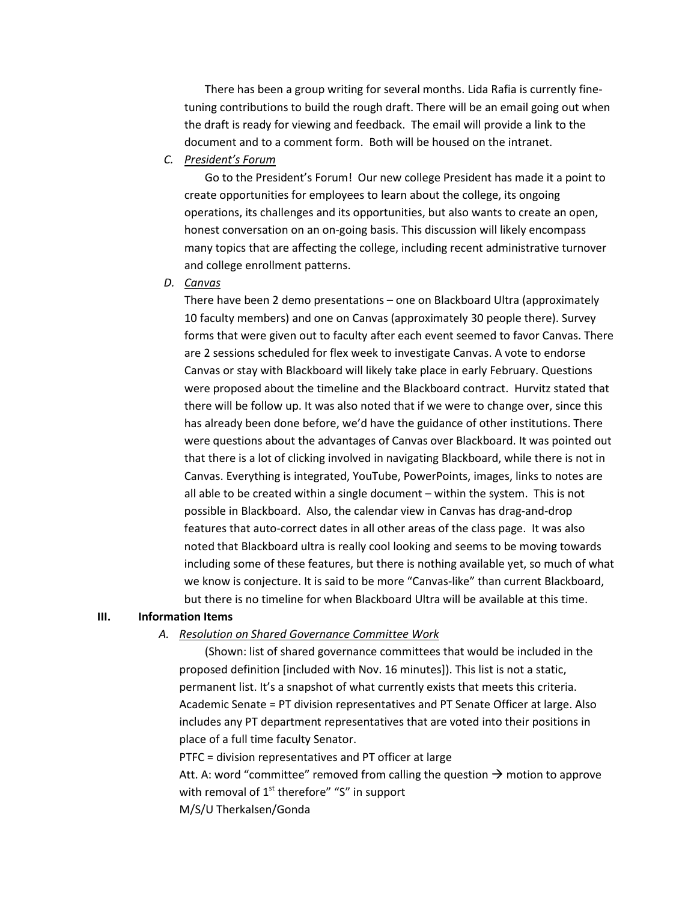There has been a group writing for several months. Lida Rafia is currently finetuning contributions to build the rough draft. There will be an email going out when the draft is ready for viewing and feedback. The email will provide a link to the document and to a comment form. Both will be housed on the intranet.

*C. President's Forum*

Go to the President's Forum! Our new college President has made it a point to create opportunities for employees to learn about the college, its ongoing operations, its challenges and its opportunities, but also wants to create an open, honest conversation on an on-going basis. This discussion will likely encompass many topics that are affecting the college, including recent administrative turnover and college enrollment patterns.

*D. Canvas*

There have been 2 demo presentations – one on Blackboard Ultra (approximately 10 faculty members) and one on Canvas (approximately 30 people there). Survey forms that were given out to faculty after each event seemed to favor Canvas. There are 2 sessions scheduled for flex week to investigate Canvas. A vote to endorse Canvas or stay with Blackboard will likely take place in early February. Questions were proposed about the timeline and the Blackboard contract. Hurvitz stated that there will be follow up. It was also noted that if we were to change over, since this has already been done before, we'd have the guidance of other institutions. There were questions about the advantages of Canvas over Blackboard. It was pointed out that there is a lot of clicking involved in navigating Blackboard, while there is not in Canvas. Everything is integrated, YouTube, PowerPoints, images, links to notes are all able to be created within a single document – within the system. This is not possible in Blackboard. Also, the calendar view in Canvas has drag-and-drop features that auto-correct dates in all other areas of the class page. It was also noted that Blackboard ultra is really cool looking and seems to be moving towards including some of these features, but there is nothing available yet, so much of what we know is conjecture. It is said to be more "Canvas-like" than current Blackboard, but there is no timeline for when Blackboard Ultra will be available at this time.

#### **III. Information Items**

### *A. Resolution on Shared Governance Committee Work*

(Shown: list of shared governance committees that would be included in the proposed definition [included with Nov. 16 minutes]). This list is not a static, permanent list. It's a snapshot of what currently exists that meets this criteria. Academic Senate = PT division representatives and PT Senate Officer at large. Also includes any PT department representatives that are voted into their positions in place of a full time faculty Senator.

PTFC = division representatives and PT officer at large

Att. A: word "committee" removed from calling the question  $\rightarrow$  motion to approve with removal of  $1<sup>st</sup>$  therefore" "S" in support M/S/U Therkalsen/Gonda